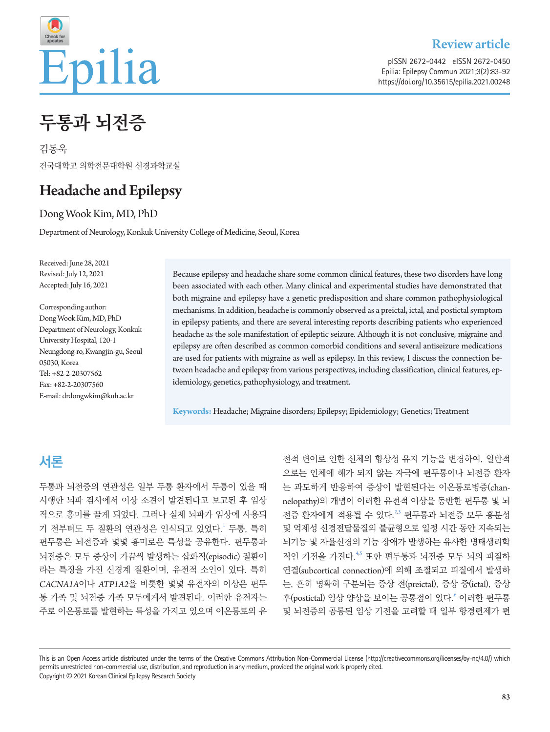

### Review article

pISSN 2672-0442 eISSN 2672-0450 Epilia: Epilepsy Commun 2021;3(2):83-92 https://doi.org/10.35615/epilia.2021.00248

# **두통과 뇌전증**

김동욱 건국대학교 의학전문대학원 신경과학교실

# Headache and Epilepsy

Dong Wook Kim, MD, PhD

Department of Neurology, Konkuk University College of Medicine, Seoul, Korea

Received: June 28, 2021 Revised: July 12, 2021 Accepted: July 16, 2021

Corresponding author: Dong Wook Kim, MD, PhD Department of Neurology, Konkuk University Hospital, 120-1 Neungdong-ro, Kwangjin-gu, Seoul 05030, Korea Tel: +82-2-20307562 Fax: +82-2-20307560 E-mail: drdongwkim@kuh.ac.kr

Because epilepsy and headache share some common clinical features, these two disorders have long been associated with each other. Many clinical and experimental studies have demonstrated that both migraine and epilepsy have a genetic predisposition and share common pathophysiological mechanisms. In addition, headache is commonly observed as a preictal, ictal, and postictal symptom in epilepsy patients, and there are several interesting reports describing patients who experienced headache as the sole manifestation of epileptic seizure. Although it is not conclusive, migraine and epilepsy are often described as common comorbid conditions and several antiseizure medications are used for patients with migraine as well as epilepsy. In this review, I discuss the connection between headache and epilepsy from various perspectives, including classification, clinical features, epidemiology, genetics, pathophysiology, and treatment.

**Keywords:** Headache; Migraine disorders; Epilepsy; Epidemiology; Genetics; Treatment

## **서론**

두통과 뇌전증의 연관성은 일부 두통 환자에서 두통이 있을 때 시행한 뇌파 검사에서 이상 소견이 발견된다고 보고된 후 임상 적으로 흥미를 끌게 되었다. 그러나 실제 뇌파가 임상에 사용되 기 전부터도 두 질환의 연관성은 인식되고 있었다. 두통, 특히 편두통은 뇌전증과 몇몇 흥미로운 특성을 공유한다. 편두통과 뇌전증은 모두 증상이 가끔씩 발생하는 삽화적(episodic) 질환이 라는 특징을 가진 신경계 질환이며, 유전적 소인이 있다. 특히 *CACNA1A*이나 *ATP1A2*을 비롯한 몇몇 유전자의 이상은 편두 통 가족 및 뇌전증 가족 모두에게서 발견된다. 이러한 유전자는 주로 이온통로를 발현하는 특성을 가지고 있으며 이온통로의 유

전적 변이로 인한 신체의 항상성 유지 기능을 변경하여, 일반적 으로는 인체에 해가 되지 않는 자극에 편두통이나 뇌전증 환자 는 과도하게 반응하여 증상이 발현된다는 이온통로병증(channelopathy)의 개념이 이러한 유전적 이상을 동반한 편두통 및 뇌 전증 환자에게 적용될 수 있다.<sup>[2](#page-7-1)3</sup> 편두통과 뇌전증 모두 흥분성 및 억제성 신경전달물질의 불균형으로 일정 시간 동안 지속되는 뇌기능 및 자율신경의 기능 장애가 발생하는 유사한 병태생리학 적인 기전을 가진다.<sup>[4](#page-7-3)5</sup> 또한 편두통과 뇌전증 모두 뇌의 피질하 연결(subcortical connection)에 의해 조절되고 피질에서 발생하 는, 흔히 명확히 구분되는 증상 전(preictal), 증상 중(ictal), 증상 후(postictal) 임상 양상을 보이는 공통점이 있다.<sup>[6](#page-7-1)</sup> 이러한 편두통 및 뇌전증의 공통된 임상 기전을 고려할 때 일부 항경련제가 편

This is an Open Access article distributed under the terms of the Creative Commons Attribution Non-Commercial License (http://creativecommons.org/licenses/by-nc/4.0/) which permits unrestricted non-commercial use, distribution, and reproduction in any medium, provided the original work is properly cited. Copyright © 2021 Korean Clinical Epilepsy Research Society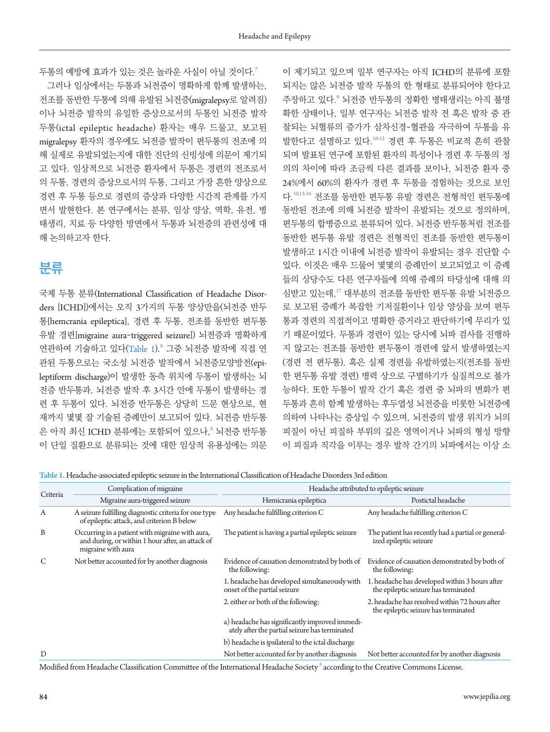두통의 예방에 효과가 있는 것은 놀라운 사실이 아닐 것이다.<sup>[7](#page-7-5)</sup>

그러나 임상에서는 두통과 뇌전증이 명확하게 함께 발생하는, 전조를 동반한 두통에 의해 유발된 뇌전증(migralepsy로 알려짐) 이나 뇌전증 발작의 유일한 증상으로서의 두통인 뇌전증 발작 두통(ictal epileptic headache) 환자는 매우 드물고, 보고된 migralepsy 환자의 경우에도 뇌전증 발작이 편두통의 전조에 의 해 실제로 유발되었는지에 대한 진단의 신빙성에 의문이 제기되 고 있다. 임상적으로 뇌전증 환자에서 두통은 경련의 전조로서 의 두통, 경련의 증상으로서의 두통, 그리고 가장 흔한 양상으로 경련 후 두통 등으로 경련의 증상과 다양한 시간적 관계를 가지 면서 발현한다. 본 연구에서는 분류, 임상 양상, 역학, 유전, 병 태생리, 치료 등 다양한 방면에서 두통과 뇌전증의 관련성에 대 해 논의하고자 한다.

### **분류**

국제 두통 분류(International Classification of Headache Disorders [ICHD])에서는 오직 3가지의 두통 양상만을(뇌전증 반두 통[hemcrania epileptica], 경련 후 두통, 전조를 동반한 편두통 유발 경련[migraine aura-triggered seizure]) 뇌전증과 명확하게 연관하여 기술하고 있다([Table](#page-1-0) 1). $^8$  $^8$  그중 뇌전증 발작에 직접 연 관된 두통으로는 국소성 뇌전증 발작에서 뇌전증모양방전(epileptiform discharge)이 발생한 동측 위치에 두통이 발생하는 뇌 전증 반두통과, 뇌전증 발작 후 3시간 안에 두통이 발생하는 경 련 후 두통이 있다. 뇌전증 반두통은 상당히 드문 현상으로, 현 재까지 몇몇 잘 기술된 증례만이 보고되어 있다. 뇌전증 반두통 은 아직 최신 ICHD 분류에는 포함되어 있으나, $^{\circ}$  뇌전증 반두통 이 단일 질환으로 분류되는 것에 대한 임상적 유용성에는 의문 이 제기되고 있으며 일부 연구자는 아직 ICHD의 분류에 포함 되지는 않은 뇌전증 발작 두통의 한 형태로 분류되어야 한다고 주장하고 있다.<sup>[9](#page-7-7)</sup> 뇌전증 반두통의 정확한 병태생리는 아직 불명 확한 상태이나, 일부 연구자는 뇌전증 발작 전 혹은 발작 중 관 찰되는 뇌혈류의 증가가 삼차신경-혈관을 자극하여 두통을 유 발한다고 설명하고 있다.[10](#page-7-8)[-12](#page-7-9) 경련 후 두통은 비교적 흔히 관찰 되며 발표된 연구에 포함된 환자의 특성이나 경련 후 두통의 정 의의 차이에 따라 조금씩 다른 결과를 보이나, 뇌전증 환자 중 24%에서 60%의 환자가 경련 후 두통을 경험하는 것으로 보인 다.[10](#page-7-8)[,13](#page-7-7)[-16](#page-7-9) 전조를 동반한 편두통 유발 경련은 전형적인 편두통에 동반된 전조에 의해 뇌전증 발작이 유발되는 것으로 정의하며, 편두통의 합병증으로 분류되어 있다. 뇌전증 반두통처럼 전조를 동반한 편두통 유발 경련은 전형적인 전조를 동반한 편두통이 발생하고 1시간 이내에 뇌전증 발작이 유발되는 경우 진단할 수 있다. 이것은 매우 드물어 몇몇의 증례만이 보고되었고 이 증례 들의 상당수도 다른 연구자들에 의해 증례의 타당성에 대해 의 심받고 있는데,[17](#page-7-10) 대부분의 전조를 동반한 편두통 유발 뇌전증으 로 보고된 증례가 복잡한 기저질환이나 임상 양상을 보여 편두 통과 경련의 직접적이고 명확한 증거라고 판단하기에 무리가 있 기 때문이었다. 두통과 경련이 있는 당시에 뇌파 검사를 진행하 지 않고는 전조를 동반한 편두통이 경련에 앞서 발생하였는지 (경련 전 편두통), 혹은 실제 경련을 유발하였는지(전조를 동반 한 편두통 유발 경련) 병력 상으로 구별하기가 실질적으로 불가 능하다. 또한 두통이 발작 간기 혹은 경련 중 뇌파의 변화가 편 두통과 흔히 함께 발생하는 후두엽성 뇌전증을 비롯한 뇌전증에 의하여 나타나는 증상일 수 있으며, 뇌전증의 발생 위치가 뇌의 피질이 아닌 피질하 부위의 깊은 영역이거나 뇌파의 형성 방향 이 피질과 직각을 이루는 경우 발작 간기의 뇌파에서는 이상 소

<span id="page-1-0"></span>**Table 1.** Headache-associated epileptic seizure in the International Classification of Headache Disorders 3rd edition

| Criteria | Complication of migraine                                                                                                  | Headache attributed to epileptic seizure                                                         |                                                                                        |
|----------|---------------------------------------------------------------------------------------------------------------------------|--------------------------------------------------------------------------------------------------|----------------------------------------------------------------------------------------|
|          | Migraine aura-triggered seizure                                                                                           | Hemicrania epileptica                                                                            | Postictal headache                                                                     |
| A        | A seizure fulfilling diagnostic criteria for one type<br>of epileptic attack, and criterion B below                       | Any headache fulfilling criterion C                                                              | Any headache fulfilling criterion C                                                    |
| B        | Occurring in a patient with migraine with aura,<br>and during, or within 1 hour after, an attack of<br>migraine with aura | The patient is having a partial epileptic seizure                                                | The patient has recently had a partial or general-<br>ized epileptic seizure           |
| C        | Not better accounted for by another diagnosis                                                                             | Evidence of causation demonstrated by both of<br>the following:                                  | Evidence of causation demonstrated by both of<br>the following:                        |
|          |                                                                                                                           | 1. headache has developed simultaneously with<br>onset of the partial seizure                    | 1. headache has developed within 3 hours after<br>the epileptic seizure has terminated |
|          |                                                                                                                           | 2. either or both of the following:                                                              | 2. headache has resolved within 72 hours after<br>the epileptic seizure has terminated |
|          |                                                                                                                           | a) headache has significantly improved immedi-<br>ately after the partial seizure has terminated |                                                                                        |
|          |                                                                                                                           | b) headache is ipsilateral to the ictal discharge                                                |                                                                                        |
| D        |                                                                                                                           | Not better accounted for by another diagnosis                                                    | Not better accounted for by another diagnosis                                          |

Modified from Headache Classification Committee of the International Headache Society  $^{\rm 8}$  $^{\rm 8}$  $^{\rm 8}$  according to the Creative Commons License.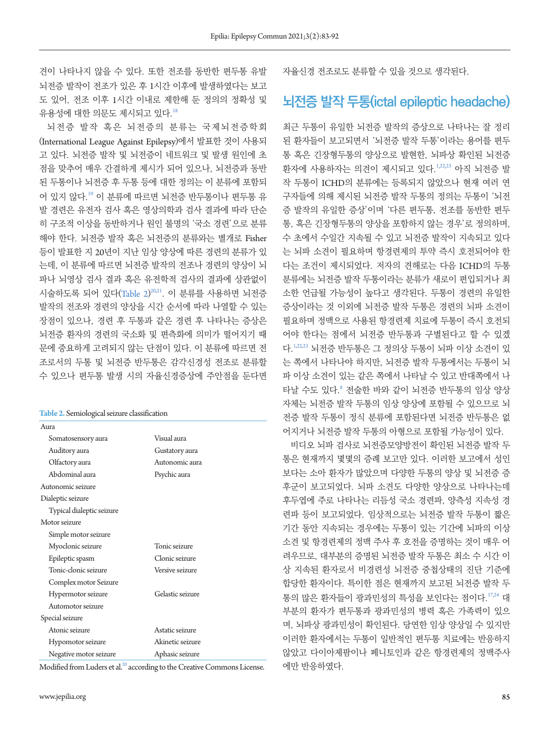견이 나타나지 않을 수 있다. 또한 전조를 동반한 편두통 유발 뇌전증 발작이 전조가 있은 후 1시간 이후에 발생하였다는 보고 도 있어, 전조 이후 1시간 이내로 제한해 둔 정의의 정확성 및 유용성에 대한 의문도 제시되고 있다.[18](#page-7-11)

뇌전증 발작 혹은 뇌전증의 분류는 국제뇌전증학회 (International League Against Epilepsy)에서 발표한 것이 사용되 고 있다. 뇌전증 발작 및 뇌전증이 네트워크 및 발생 원인에 초 점을 맞추어 매우 간결하게 제시가 되어 있으나, 뇌전증과 동반 된 두통이나 뇌전증 후 두통 등에 대한 정의는 이 분류에 포함되 어 있지 않다.[19](#page-7-12) 이 분류에 따르면 뇌전증 반두통이나 편두통 유 발 경련은 유전자 검사 혹은 영상의학과 검사 결과에 따라 단순 히 구조적 이상을 동반하거나 원인 불명의 '국소 경련'으로 분류 해야 한다. 뇌전증 발작 혹은 뇌전증의 분류와는 별개로 Fisher 등이 발표한 지 20년이 지난 임상 양상에 따른 경련의 분류가 있 는데, 이 분류에 따르면 뇌전증 발작의 전조나 경련의 양상이 뇌 파나 뇌영상 검사 결과 혹은 유전학적 검사의 결과에 상관없이 시술하도록 되어 있다([Table](#page-2-0) 2)<sup>[20,](#page-7-13)[21](#page-7-14)</sup>. 이 분류를 사용하면 뇌전증 발작의 전조와 경련의 양상을 시간 순서에 따라 나열할 수 있는 장점이 있으나, 경련 후 두통과 같은 경련 후 나타나는 증상은 뇌전증 환자의 경련의 국소화 및 편측화에 의미가 떨어지기 때 문에 중요하게 고려되지 않는 단점이 있다. 이 분류에 따르면 전 조로서의 두통 및 뇌전증 반두통은 감각신경성 전조로 분류할 수 있으나 편두통 발생 시의 자율신경증상에 주안점을 둔다면

<span id="page-2-0"></span>**Table 2.** Semiological seizure classification

| Aura                      |                  |  |  |  |
|---------------------------|------------------|--|--|--|
| Somatosensory aura        | Visual aura      |  |  |  |
| Auditory aura             | Gustatory aura   |  |  |  |
| Olfactory aura            | Autonomic aura   |  |  |  |
| Abdominal aura            | Psychic aura     |  |  |  |
| Autonomic seizure         |                  |  |  |  |
| Dialeptic seizure         |                  |  |  |  |
| Typical dialeptic seizure |                  |  |  |  |
| Motor seizure             |                  |  |  |  |
| Simple motor seizure      |                  |  |  |  |
| Myoclonic seizure         | Tonic seizure    |  |  |  |
| Epileptic spasm           | Clonic seizure   |  |  |  |
| Tonic-clonic seizure      | Versive seizure  |  |  |  |
| Complex motor Seizure     |                  |  |  |  |
| Hypermotor seizure        | Gelastic seizure |  |  |  |
| Automotor seizure         |                  |  |  |  |
| Special seizure           |                  |  |  |  |
| Atonic seizure            | Astatic seizure  |  |  |  |
| Hypomotor seizure         | Akinetic seizure |  |  |  |
| Negative motor seizure    | Aphasic seizure  |  |  |  |

Modified from Luders et al.<sup>20</sup> according to the Creative Commons License.

자율신경 전조로도 분류할 수 있을 것으로 생각된다.

### **뇌전증 발작 두통(ictal epileptic headache)**

최근 두통이 유일한 뇌전증 발작의 증상으로 나타나는 잘 정리 된 환자들이 보고되면서 '뇌전증 발작 두통'이라는 용어를 편두 통 혹은 긴장형두통의 양상으로 발현한, 뇌파상 확인된 뇌전증 환자에 사용하자는 의견이 제시되고 있다.1[,22](#page-7-11)[,23](#page-7-13) 아직 뇌전증 발 작 두통이 ICHD의 분류에는 등록되지 않았으나 현재 여러 연 구자들에 의해 제시된 뇌전증 발작 두통의 정의는 두통이 '뇌전 증 발작의 유일한 증상'이며 '다른 편두통, 전조를 동반한 편두 통, 혹은 긴장형두통의 양상을 포함하지 않는 경우'로 정의하며, 수 초에서 수일간 지속될 수 있고 뇌전증 발작이 지속되고 있다 는 뇌파 소견이 필요하며 항경련제의 투약 즉시 호전되어야 한 다는 조건이 제시되었다. 저자의 견해로는 다음 ICHD의 두통 분류에는 뇌전증 발작 두통이라는 분류가 새로이 편입되거나 최 소한 언급될 가능성이 높다고 생각된다. 두통이 경련의 유일한 증상이라는 것 이외에 뇌전증 발작 두통은 경련의 뇌파 소견이 필요하며 정맥으로 사용된 항경련제 치료에 두통이 즉시 호전되 어야 한다는 점에서 뇌전증 반두통과 구별된다고 할 수 있겠 다.[1,22](#page-7-11)[,23](#page-7-13) 뇌전증 반두통은 그 정의상 두통이 뇌파 이상 소견이 있 는 쪽에서 나타나야 하지만, 뇌전증 발작 두통에서는 두통이 뇌 파 이상 소견이 있는 같은 쪽에서 나타날 수 있고 반대쪽에서 나 타날 수도 있다.[8](#page-7-3) 전술한 바와 같이 뇌전증 반두통의 임상 양상 자체는 뇌전증 발작 두통의 임상 양상에 포함될 수 있으므로 뇌 전증 발작 두통이 정식 분류에 포함된다면 뇌전증 반두통은 없 어지거나 뇌전증 발작 두통의 아형으로 포함될 가능성이 있다.

비디오 뇌파 검사로 뇌전증모양방전이 확인된 뇌전증 발작 두 통은 현재까지 몇몇의 증례 보고만 있다. 이러한 보고에서 성인 보다는 소아 환자가 많았으며 다양한 두통의 양상 및 뇌전증 증 후군이 보고되었다. 뇌파 소견도 다양한 양상으로 나타나는데 후두엽에 주로 나타나는 리듬성 국소 경련파, 양측성 지속성 경 련파 등이 보고되었다. 임상적으로는 뇌전증 발작 두통이 짧은 기간 동안 지속되는 경우에는 두통이 있는 기간에 뇌파의 이상 소견 및 항경련제의 정맥 주사 후 호전을 증명하는 것이 매우 어 려우므로, 대부분의 증명된 뇌전증 발작 두통은 최소 수 시간 이 상 지속된 환자로서 비경련성 뇌전증 중첩상태의 진단 기준에 합당한 환자이다. 특이한 점은 현재까지 보고된 뇌전증 발작 두 통의 많은 환자들이 광과민성의 특성을 보인다는 점이다. [17](#page-7-10)[,24](#page-7-15) 대 부분의 환자가 편두통과 광과민성의 병력 혹은 가족력이 있으 며, 뇌파상 광과민성이 확인된다. 당연한 임상 양상일 수 있지만 이러한 환자에서는 두통이 일반적인 편두통 치료에는 반응하지 않았고 다이아제팜이나 페니토인과 같은 항경련제의 정맥주사 에만 반응하였다.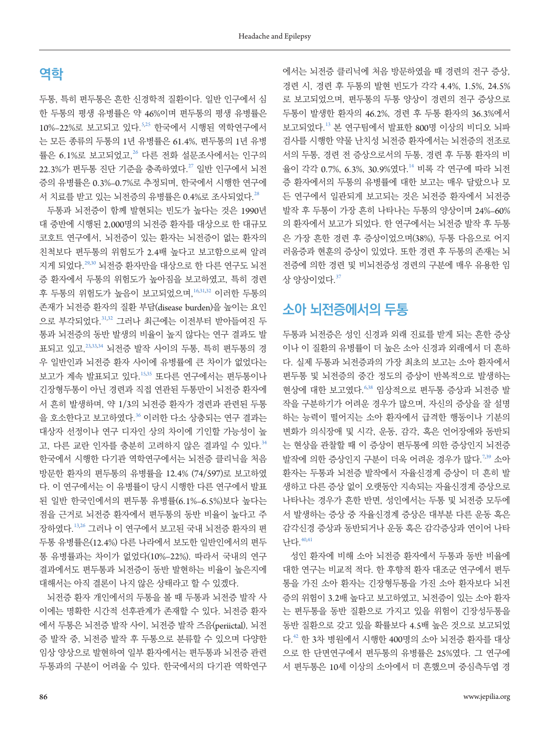### **역학**

두통, 특히 편두통은 흔한 신경학적 질환이다. 일반 인구에서 심 한 두통의 평생 유병률은 약 46%이며 편두통의 평생 유병률은 10%–22%로 보고되고 있다.5[,25](#page-7-16) 한국에서 시행된 역학연구에서 는 모든 종류의 두통의 1년 유병률은 61.4%, 편두통의 1년 유병 률은 6.1%로 보고되었고,[26](#page-7-17) 다른 전화 설문조사에서는 인구의  $22.3\%$ 가 편두통 진단 기준을 충족하였다.<sup>[27](#page-8-0)</sup> 일반 인구에서 뇌전 증의 유병률은 0.3%–0.7%로 추정되며, 한국에서 시행한 연구에 서 치료를 받고 있는 뇌전증의 유병률은 0.4%로 조사되었다.<sup>[28](#page-8-1)</sup>

두통과 뇌전증이 함께 발현되는 빈도가 높다는 것은 1990년 대 중반에 시행된 2,000명의 뇌전증 환자를 대상으로 한 대규모 코호트 연구에서, 뇌전증이 있는 환자는 뇌전증이 없는 환자의 친척보다 편두통의 위험도가 2.4배 높다고 보고함으로써 알려 지게 되었다.[29](#page-8-2)[,30](#page-8-3) 뇌전증 환자만을 대상으로 한 다른 연구도 뇌전 증 환자에서 두통의 위험도가 높아짐을 보고하였고, 특히 경련 후 두통의 위험도가 높음이 보고되었으며,16[,31](#page-8-4)[,32](#page-8-5) 이러한 두통의 존재가 뇌전증 환자의 질환 부담(disease burden)을 높이는 요인 으로 부각되었다. [31,](#page-8-4)[32](#page-8-5) 그러나 최근에는 이전부터 받아들여진 두 통과 뇌전증의 동반 발생의 비율이 높지 않다는 연구 결과도 발 표되고 있고,23[,33](#page-8-6)[,34](#page-8-7) 뇌전증 발작 사이의 두통, 특히 편두통의 경 우 일반인과 뇌전증 환자 사이에 유병률에 큰 차이가 없었다는 보고가 계속 발표되고 있다.[15,](#page-7-18)[35](#page-8-8) 또다른 연구에서는 편두통이나 긴장형두통이 아닌 경련과 직접 연관된 두통만이 뇌전증 환자에 서 흔히 발생하며, 약 1/3의 뇌전증 환자가 경련과 관련된 두통 을 호소한다고 보고하였다.[36](#page-8-9) 이러한 다소 상충되는 연구 결과는 대상자 선정이나 연구 디자인 상의 차이에 기인할 가능성이 높 고, 다른 교란 인자를 충분히 고려하지 않은 결과일 수 있다. [34](#page-8-7) 한국에서 시행한 다기관 역학연구에서는 뇌전증 클리닉을 처음 방문한 환자의 편두통의 유병률을 12.4% (74/597)로 보고하였 다. 이 연구에서는 이 유병률이 당시 시행한 다른 연구에서 발표 된 일반 한국인에서의 편두통 유병률(6.1%–6.5%)보다 높다는 점을 근거로 뇌전증 환자에서 편두통의 동반 비율이 높다고 주 장하였다.13,26 그러나 이 연구에서 보고된 국내 뇌전증 환자의 편 두통 유병률은(12.4%) 다른 나라에서 보도한 일반인에서의 편두 통 유병률과는 차이가 없었다(10%–22%). 따라서 국내의 연구 결과에서도 편두통과 뇌전증이 동반 발현하는 비율이 높은지에 대해서는 아직 결론이 나지 않은 상태라고 할 수 있겠다.

뇌전증 환자 개인에서의 두통을 볼 때 두통과 뇌전증 발작 사 이에는 명확한 시간적 선후관계가 존재할 수 있다. 뇌전증 환자 에서 두통은 뇌전증 발작 사이, 뇌전증 발작 즈음(periictal), 뇌전 증 발작 중, 뇌전증 발작 후 두통으로 분류할 수 있으며 다양한 임상 양상으로 발현하여 일부 환자에서는 편두통과 뇌전증 관련 두통과의 구분이 어려울 수 있다. 한국에서의 다기관 역학연구 에서는 뇌전증 클리닉에 처음 방문하였을 때 경련의 전구 증상, 경련 시, 경련 후 두통의 발현 빈도가 각각 4.4%, 1.5%, 24.5% 로 보고되었으며, 편두통의 두통 양상이 경련의 전구 증상으로 두통이 발생한 환자의 46.2%, 경련 후 두통 환자의 36.3%에서 보고되었다.<sup>13</sup> 본 연구팀에서 발표한 800명 이상의 비디오 뇌파 검사를 시행한 약물 난치성 뇌전증 환자에서는 뇌전증의 전조로 서의 두통, 경련 전 증상으로서의 두통, 경련 후 두통 환자의 비 율이 각각 0.7%, 6.3%, 30.9%였다.[14](#page-7-19) 비록 각 연구에 따라 뇌전 증 환자에서의 두통의 유병률에 대한 보고는 매우 달랐으나 모 든 연구에서 일관되게 보고되는 것은 뇌전증 환자에서 뇌전증 발작 후 두통이 가장 흔히 나타나는 두통의 양상이며 24%–60% 의 환자에서 보고가 되었다. 한 연구에서는 뇌전증 발작 후 두통 은 가장 흔한 경련 후 증상이었으며(38%), 두통 다음으로 어지 러움증과 현훈의 증상이 있었다. 또한 경련 후 두통의 존재는 뇌 전증에 의한 경련 및 비뇌전증성 경련의 구분에 매우 유용한 임 상 양상이었다. [37](#page-8-10)

### **소아 뇌전증에서의 두통**

두통과 뇌전증은 성인 신경과 외래 진료를 받게 되는 흔한 증상 이나 이 질환의 유병률이 더 높은 소아 신경과 외래에서 더 흔하 다. 실제 두통과 뇌전증과의 가장 최초의 보고는 소아 환자에서 편두통 및 뇌전증의 중간 정도의 증상이 반복적으로 발생하는 현상에 대한 보고였다.6[,38](#page-8-11) 임상적으로 편두통 증상과 뇌전증 발 작을 구분하기가 어려운 경우가 많으며, 자신의 증상을 잘 설명 하는 능력이 떨어지는 소아 환자에서 급격한 행동이나 기분의 변화가 의식장애 및 시각, 운동, 감각, 혹은 언어장애와 동반되 는 현상을 관찰할 때 이 증상이 편두통에 의한 증상인지 뇌전증 발작에 의한 증상인지 구분이 더욱 어려운 경우가 많다.<sup>7[,39](#page-8-8)</sup> 소아 환자는 두통과 뇌전증 발작에서 자율신경계 증상이 더 흔히 발 생하고 다른 증상 없이 오랫동안 지속되는 자율신경계 증상으로 나타나는 경우가 흔한 반면, 성인에서는 두통 및 뇌전증 모두에 서 발생하는 증상 중 자율신경계 증상은 대부분 다른 운동 혹은 감각신경 증상과 동반되거나 운동 혹은 감각증상과 연이어 나타 난다.[40,](#page-8-12)[41](#page-8-13)

성인 환자에 비해 소아 뇌전증 환자에서 두통과 동반 비율에 대한 연구는 비교적 적다. 한 후향적 환자 대조군 연구에서 편두 통을 가진 소아 환자는 긴장형두통을 가진 소아 환자보다 뇌전 증의 위험이 3.2배 높다고 보고하였고, 뇌전증이 있는 소아 환자 는 편두통을 동반 질환으로 가지고 있을 위험이 긴장성두통을 동반 질환으로 갖고 있을 확률보다 4.5배 높은 것으로 보고되었 다.<sup>[42](#page-8-14)</sup> 한 3차 병원에서 시행한 400명의 소아 뇌전증 환자를 대상 으로 한 단면연구에서 편두통의 유병률은 25%였다. 그 연구에 서 편두통은 10세 이상의 소아에서 더 흔했으며 중심측두엽 경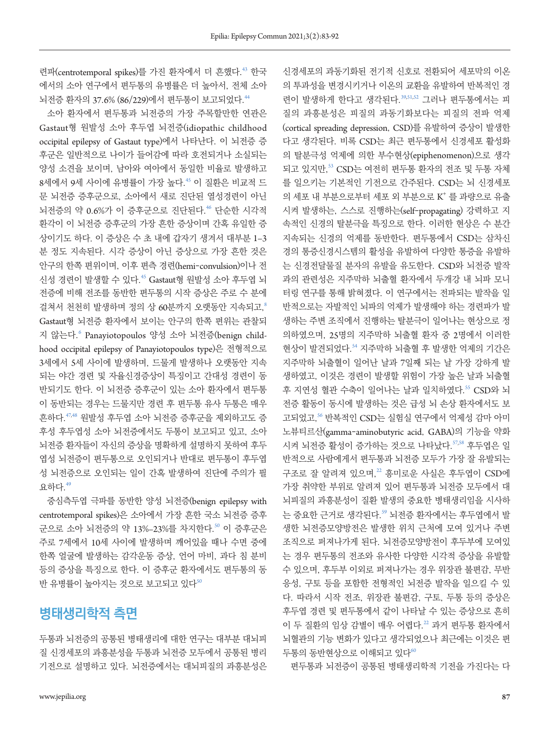련파(centrotemporal spikes)를 가진 환자에서 더 흔했다.<sup>[43](#page-8-15)</sup> 한국 에서의 소아 연구에서 편두통의 유병률은 더 높아서, 전체 소아 뇌전증 환자의 37.6% (86/229)에서 편두통이 보고되었다.<sup>[44](#page-8-16)</sup>

소아 환자에서 편두통과 뇌전증의 가장 주목할만한 연관은 Gastaut형 원발성 소아 후두엽 뇌전증(idiopathic childhood occipital epilepsy of Gastaut type)에서 나타난다. 이 뇌전증 증 후군은 일반적으로 나이가 들어감에 따라 호전되거나 소실되는 양성 소견을 보이며, 남아와 여아에서 동일한 비율로 발생하고 8세에서 9세 사이에 유병률이 가장 높다.<sup>[45](#page-8-13)</sup> 이 질환은 비교적 드 문 뇌전증 증후군으로, 소아에서 새로 진단된 열성경련이 아닌 뇌전증의 약 0.6%가 이 증후군으로 진단된다.<sup>[46](#page-8-17)</sup> 단순한 시각적 환각이 이 뇌전증 증후군의 가장 흔한 증상이며 간혹 유일한 증 상이기도 하다. 이 증상은 수 초 내에 갑자기 생겨서 대부분 1–3 분 정도 지속된다. 시각 증상이 아닌 증상으로 가장 흔한 것은 안구의 한쪽 편위이며, 이후 편측 경련(hemi-convulsion)이나 전 신성 경련이 발생할 수 있다.<sup>[45](#page-8-13)</sup> Gastaut형 원발성 소아 후두엽 뇌 전증에 비해 전조를 동반한 편두통의 시작 증상은 주로 수 분에 걸쳐서 천천히 발생하며 정의 상 60분까지 오랫동안 지속되고.8 Gastaut형 뇌전증 환자에서 보이는 안구의 한쪽 편위는 관찰되 지 않는다.<sup>6</sup> Panayiotopoulos 양성 소아 뇌전증(benign childhood occipital epilepsy of Panayiotopoulos type)은 전형적으로 3세에서 5세 사이에 발생하며, 드물게 발생하나 오랫동안 지속 되는 야간 경련 및 자율신경증상이 특징이고 간대성 경련이 동 반되기도 한다. 이 뇌전증 증후군이 있는 소아 환자에서 편두통 이 동반되는 경우는 드물지만 경련 후 편두통 유사 두통은 매우 흔하다.[47](#page-8-18)[,48](#page-8-19) 원발성 후두엽 소아 뇌전증 증후군을 제외하고도 증 후성 후두엽성 소아 뇌전증에서도 두통이 보고되고 있고, 소아 뇌전증 환자들이 자신의 증상을 명확하게 설명하지 못하여 후두 엽성 뇌전증이 편두통으로 오인되거나 반대로 편두통이 후두엽 성 뇌전증으로 오인되는 일이 간혹 발생하여 진단에 주의가 필 요하다.[49](#page-8-20)

중심측두엽 극파를 동반한 양성 뇌전증(benign epilepsy with centrotemporal spikes)은 소아에서 가장 흔한 국소 뇌전증 증후 군으로 소아 뇌전증의 약 13%-23%를 차지한다.<sup>[50](#page-8-17)</sup> 이 증후군은 주로 7세에서 10세 사이에 발생하며 깨어있을 때나 수면 중에 한쪽 얼굴에 발생하는 감각운동 증상, 언어 마비, 과다 침 분비 등의 증상을 특징으로 한다. 이 증후군 환자에서도 편두통의 동 반 유병률이 높아지는 것으로 보고되고 있다<sup>[50](#page-8-17)</sup>

### **병태생리학적 측면**

두통과 뇌전증의 공통된 병태생리에 대한 연구는 대부분 대뇌피 질 신경세포의 과흥분성을 두통과 뇌전증 모두에서 공통된 병리 기전으로 설명하고 있다. 뇌전증에서는 대뇌피질의 과흥분성은

신경세포의 과동기화된 전기적 신호로 전환되어 세포막의 이온 의 투과성을 변경시키거나 이온의 교환을 유발하여 반복적인 경 련이 발생하게 한다고 생각된다. [39](#page-8-8)[,51,](#page-8-21)[52](#page-8-22) 그러나 편두통에서는 피 질의 과흥분성은 피질의 과동기화보다는 피질의 전파 억제 (cortical spreading depression, CSD)를 유발하여 증상이 발생한 다고 생각된다. 비록 CSD는 최근 편두통에서 신경세포 활성화 의 탈분극성 억제에 의한 부수현상(epiphenomenon)으로 생각 되고 있지만, [53](#page-8-23) CSD는 여전히 편두통 환자의 전조 및 두통 자체 를 일으키는 기본적인 기전으로 간주된다. CSD는 뇌 신경세포 의 세포 내 부분으로부터 세포 외 부분으로 K<sup>+</sup> 를 과량으로 유출 시켜 발생하는, 스스로 진행하는(self-propagating) 강력하고 지 속적인 신경의 탈분극을 특징으로 한다. 이러한 현상은 수 분간 지속되는 신경의 억제를 동반한다. 편두통에서 CSD는 삼차신 경의 통증신경시스템의 활성을 유발하여 다양한 통증을 유발하 는 신경전달물질 분자의 유발을 유도한다. CSD와 뇌전증 발작 과의 관련성은 지주막하 뇌출혈 환자에서 두개강 내 뇌파 모니 터링 연구를 통해 밝혀졌다. 이 연구에서는 전파되는 발작을 일 반적으로는 자발적인 뇌파의 억제가 발생해야 하는 경련파가 발 생하는 주변 조직에서 진행하는 탈분극이 일어나는 현상으로 정 의하였으며, 25명의 지주막하 뇌출혈 환자 중 2명에서 이러한 현상이 발견되었다. [54](#page-8-24) 지주막하 뇌출혈 후 발생한 억제의 기간은 지주막하 뇌출혈이 일어난 날과 7일째 되는 날 가장 강하게 발 생하였고, 이것은 경련이 발생할 위험이 가장 높은 날과 뇌출혈 후 지연성 혈관 수축이 일어나는 날과 일치하였다.<sup>[55](#page-8-25)</sup> CSD와 뇌 전증 활동이 동시에 발생하는 것은 급성 뇌 손상 환자에서도 보 고되었고, [56](#page-8-26) 반복적인 CSD는 실험실 연구에서 억제성 감마 아미 노뷰티르산(gamma-aminobutyric acid, GABA)의 기능을 약화 시켜 뇌전증 활성이 증가하는 것으로 나타났다. [57](#page-9-0)[,58](#page-9-1) 후두엽은 일 반적으로 사람에게서 편두통과 뇌전증 모두가 가장 잘 유발되는 구조로 잘 알려져 있으며,<sup>22</sup> 흥미로운 사실은 후두엽이 CSD에 가장 취약한 부위로 알려져 있어 편두통과 뇌전증 모두에서 대 뇌피질의 과흥분성이 질환 발생의 중요한 병태생리임을 시사하 는 중요한 근거로 생각된다.<sup>[59](#page-9-2)</sup> 뇌전증 환자에서는 후두엽에서 발 생한 뇌전증모양방전은 발생한 위치 근처에 모여 있거나 주변 조직으로 퍼져나가게 된다. 뇌전증모양방전이 후두부에 모여있 는 경우 편두통의 전조와 유사한 다양한 시각적 증상을 유발할 수 있으며, 후두부 이외로 퍼져나가는 경우 위장관 불편감, 무반 응성, 구토 등을 포함한 전형적인 뇌전증 발작을 일으킬 수 있 다. 따라서 시작 전조, 위장관 불편감, 구토, 두통 등의 증상은 후두엽 경련 및 편두통에서 같이 나타날 수 있는 증상으로 흔히 이 두 질환의 임상 감별이 매우 어렵다.<sup>22</sup> 과거 편두통 환자에서 뇌혈관의 기능 변화가 있다고 생각되었으나 최근에는 이것은 편 두통의 동반현상으로 이해되고 있다<sup>[60](#page-9-3)</sup>

편두통과 뇌전증이 공통된 병태생리학적 기전을 가진다는 다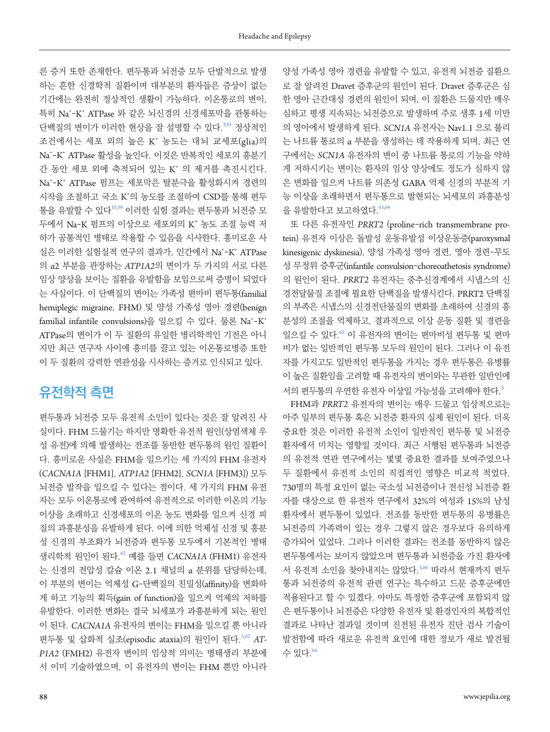른 증거 또한 존재한다. 편두통과 뇌전증 모두 단발적으로 발생 하는 흔한 신경학적 질환이며 대부분의 환자들은 증상이 없는 기간에는 완전히 정상적인 생활이 가능하다. 이온통로의 변이, 특히 Na\*-K\* ATPase 와 같은 뇌신경의 신경세포막을 관통하는 단백질의 변이가 이러한 현상을 잘 설명할 수 있다. 3[,61](#page-9-4) 정상적인 조건에서는 세포 외의 높은 K<sup>+</sup> 농도는 대뇌 교세포(glia)의 Na+ -K+ ATPase 활성을 높인다. 이것은 반복적인 세포의 흥분기 간 동안 세포 외에 축적되어 있는 K<sup>+</sup> 의 제거를 촉진시킨다. Na+ -K+ ATPase 펌프는 세포막은 탈분극을 활성화시켜 경련의 시작을 조절하고 국소 K+ 의 농도를 조절하여 CSD를 통해 편두 통을 유발할 수 있다10,39 이러한 실험 결과는 편두통과 뇌전증 모 두에서 Na-K 펌프의 이상으로 세포외의 K<sup>+</sup> 농도 조절 능력 저 하가 공통적인 병태로 작용할 수 있음을 시사한다. 흥미로운 사 실은 이러한 실험실적 연구의 결과가, 인간에서 Na<sup>+</sup>-K<sup>+</sup> ATPase 의 α2 부분을 관장하는 *ATP1A2*의 변이가 두 가지의 서로 다른 임상 양상을 보이는 질환을 유발함을 보임으로써 증명이 되었다 는 사실이다. 이 단백질의 변이는 가족성 편마비 편두통(familial hemiplegic migraine, FHM) 및 양성 가족성 영아 경련(benign familial infantile convulsions)을 일으킬 수 있다. 물론 Na<sup>+</sup>-K<sup>+</sup> ATPase의 변이가 이 두 질환의 유일한 병리학적인 기전은 아니 지만 최근 연구자 사이에 흥미를 끌고 있는 이온통로병증 또한 이 두 질환의 강력한 연관성을 시사하는 증거로 인식되고 있다.

## **유전학적 측면**

편두통과 뇌전증 모두 유전적 소인이 있다는 것은 잘 알려진 사 실이다. FHM 드물기는 하지만 명확한 유전적 원인(상염색체 우 성 유전)에 의해 발생하는 전조를 동반한 편두통의 원인 질환이 다. 흥미로운 사실은 FHM을 일으키는 세 가지의 FHM 유전자 (*CACNA1A* [FHM1], *ATP1A2* [FHM2], *SCN1A* [FHM3]) 모두 뇌전증 발작을 일으킬 수 있다는 점이다. 세 가지의 FHM 유전 자는 모두 이온통로에 관여하여 유전적으로 이러한 이온의 기능 이상을 초래하고 신경세포의 이온 농도 변화를 일으켜 신경 피 질의 과흥분성을 유발하게 된다. 이에 의한 억제성 신경 및 흥분 성 신경의 부조화가 뇌전증과 편두통 모두에서 기본적인 병태 생리학적 원인이 된다.[62](#page-9-1) 예를 들면 *CACNA1A* (FHM1) 유전자 는 신경의 전압성 칼슘 이온 2.1 채널의 α 분위를 담당하는데, 이 부분의 변이는 억제성 G-단백질의 친밀성(affinity)을 변화하 게 하고 기능의 획득(gain of function)을 일으켜 억제의 저하를 유발한다. 이러한 변화는 결국 뇌세포가 과흥분하게 되는 원인 이 된다. *CACNA1A* 유전자의 변이는 FHM을 일으킬 뿐 아니라 편두통 및 삽화적 실조(episodic ataxia)의 원인이 된다. 5[,62](#page-9-1) AT-*P1A2* (FMH2) 유전자 변이의 임상적 의미는 병태생리 부분에 서 이미 기술하였으며, 이 유전자의 변이는 FHM 뿐만 아니라 양성 가족성 영아 경련을 유발할 수 있고, 유전적 뇌전증 질환으 로 잘 알려진 Dravet 증후군의 원인이 된다. Dravet 증후군은 심 한 영아 근간대성 경련의 원인이 되며, 이 질환은 드물지만 매우 심하고 평생 지속되는 뇌전증으로 발생하며 주로 생후 1세 미만 의 영아에서 발생하게 된다. *SCN1A* 유전자는 Nav1.1 으로 불리 는 나트륨 통로의 α 부분을 생성하는 데 작용하게 되며, 최근 연 구에서는 *SCN1A* 유전자의 변이 중 나트륨 통로의 기능을 약하 게 저하시키는 변이는 환자의 임상 양상에도 정도가 심하지 않 은 변화를 일으켜 나트륨 의존성 GABA 억제 신경의 부분적 기 능 이상을 초래하면서 편두통으로 발현되는 뇌세포의 과흥분성 을 유발한다고 보고하였다. $^{63,64}$  $^{63,64}$  $^{63,64}$  $^{63,64}$ 

또 다른 유전자인 *PRRT2* (proline-rich transmembrane protein) 유전자 이상은 돌발성 운동유발성 이상운동증(paroxysmal kinesigenic dyskinesia), 양성 가족성 영아 경련, 영아 경련-무도 성 무정위 증후군(infantile convulsion-choreoathetosis syndrome) 의 원인이 된다. *PRRT2* 유전자는 중추신경계에서 시냅스의 신 경전달물질 조절에 필요한 단백질을 발생시킨다. PRRT2 단백질 의 부족은 시냅스의 신경전단물질의 변화를 초래하여 신경의 흥 분성의 조절을 억제하고, 결과적으로 이상 운동 질환 및 경련을 일으킬 수 있다.[65](#page-9-6) 이 유전자의 변이는 편마비성 편두통 및 편마 비가 없는 일반적인 편두통 모두의 원인이 된다. 그러나 이 유전 자를 가지고도 일반적인 편두통을 가지는 경우 편두통은 유병률 이 높은 질환임을 고려할 때 유전자의 변이와는 무관한 일반인에 서의 편두통의 우연한 유전자 이상일 가능성을 고려해야 한다.<sup>5</sup>

FHM과 *PRRT2* 유전자의 변이는 매우 드물고 임상적으로는 아주 일부의 편두통 혹은 뇌전증 환자의 실제 원인이 된다. 더욱 중요한 것은 이러한 유전적 소인이 일반적인 편두통 및 뇌전증 환자에서 미치는 영향일 것이다. 최근 시행된 편두통과 뇌전증 의 유전적 연관 연구에서는 몇몇 중요한 결과를 보여주었으나 두 질환에서 유전적 소인의 직접적인 영향은 비교적 적었다. 730명의 특정 요인이 없는 국소성 뇌전증이나 전신성 뇌전증 환 자를 대상으로 한 유전자 연구에서 32%의 여성과 15%의 남성 환자에서 편두통이 있었다. 전조를 동반한 편두통의 유병률은 뇌전증의 가족력이 있는 경우 그렇지 않은 경우보다 유의하게 증가되어 있었다. 그러나 이러한 결과는 전조를 동반하지 않은 편두통에서는 보이지 않았으며 편두통과 뇌전증을 가진 환자에 서 유전적 소인을 찾아내지는 않았다.5[,66](#page-9-7) 따라서 현재까지 편두 통과 뇌전증의 유전적 관련 연구는 특수하고 드문 증후군에만 적용된다고 할 수 있겠다. 아마도 특정한 증후군에 포함되지 않 은 편두통이나 뇌전증은 다양한 유전자 및 환경인자의 복합적인 결과로 나타난 결과일 것이며 진전된 유전자 진단 검사 기술이 발전함에 따라 새로운 유전적 요인에 대한 정보가 새로 발견될 수 있다. 64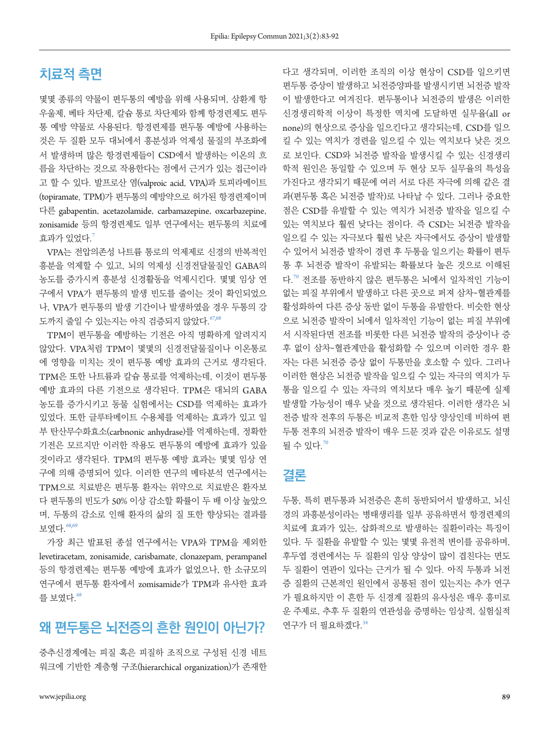### **치료적 측면**

몇몇 종류의 약물이 편두통의 예방을 위해 사용되며, 삼환계 항 우울제, 베타 차단제, 칼슘 통로 차단제와 함께 항경련제도 편두 통 예방 약물로 사용된다. 항경련제를 편두통 예방에 사용하는 것은 두 질환 모두 대뇌에서 흥분성과 억제성 물질의 부조화에 서 발생하며 많은 항경련제들이 CSD에서 발생하는 이온의 흐 름을 차단하는 것으로 작용한다는 점에서 근거가 있는 접근이라 고 할 수 있다. 발프로산 염(valproic acid, VPA)과 토피라메이트 (topiramate, TPM)가 편두통의 예방약으로 허가된 항경련제이며 다른 gabapentin, acetazolamide, carbamazepine, oxcarbazepine, zonisamide 등의 항경련제도 일부 연구에서는 편두통의 치료에  $\bar{a}$ 과가 있었다. $^7$ 

VPA는 전압의존성 나트륨 통로의 억제제로 신경의 반복적인 흥분을 억제할 수 있고, 뇌의 억제성 신경전달물질인 GABA의 농도를 증가시켜 흥분성 신경활동을 억제시킨다. 몇몇 임상 연 구에서 VPA가 편두통의 발생 빈도를 줄이는 것이 확인되었으 나, VPA가 편두통의 발생 기간이나 발생하였을 경우 두통의 강 도까지 줄일 수 있는지는 아직 검증되지 않았다. [67,](#page-9-8)[68](#page-9-7)

TPM이 편두통을 예방하는 기전은 아직 명확하게 알려지지 않았다. VPA처럼 TPM이 몇몇의 신경전달물질이나 이온통로 에 영향을 미치는 것이 편두통 예방 효과의 근거로 생각된다. TPM은 또한 나트륨과 칼슘 통로를 억제하는데, 이것이 편두통 예방 효과의 다른 기전으로 생각된다. TPM은 대뇌의 GABA 농도를 증가시키고 동물 실험에서는 CSD를 억제하는 효과가 있었다. 또한 글루타메이트 수용체를 억제하는 효과가 있고 일 부 탄산무수화효소(carbnonic anhydrase)를 억제하는데, 정확한 기전은 모르지만 이러한 작용도 편두통의 예방에 효과가 있을 것이라고 생각된다. TPM의 편두통 예방 효과는 몇몇 임상 연 구에 의해 증명되어 있다. 이러한 연구의 메타분석 연구에서는 TPM으로 치료받은 편두통 환자는 위약으로 치료받은 환자보 다 편두통의 빈도가 50% 이상 감소할 확률이 두 배 이상 높았으 며, 두통의 감소로 인해 환자의 삶의 질 또한 향상되는 결과를 보였다.[68](#page-9-7)[,](#page-9-9)69

가장 최근 발표된 종설 연구에서는 VPA와 TPM을 제외한 levetiracetam, zonisamide, carisbamate, clonazepam, perampanel 등의 항경련제는 편두통 예방에 효과가 없었으나, 한 소규모의 연구에서 편두통 환자에서 zomisamide가 TPM과 유사한 효과 를 보였다. $68$ 

### **왜 편두통은 뇌전증의 흔한 원인이 아닌가?**

중추신경계에는 피질 혹은 피질하 조직으로 구성된 신경 네트 워크에 기반한 계층형 구조(hierarchical organization)가 존재한

다고 생각되며, 이러한 조직의 이상 현상이 CSD를 일으키면 편두통 증상이 발생하고 뇌전증양파를 발생시키면 뇌전증 발작 이 발생한다고 여겨진다. 편두통이나 뇌전증의 발생은 이러한 신경생리학적 이상이 특정한 역치에 도달하면 실무율(all or none)의 현상으로 증상을 일으킨다고 생각되는데, CSD를 일으 킬 수 있는 역치가 경련을 일으킬 수 있는 역치보다 낮은 것으 로 보인다. CSD와 뇌전증 발작을 발생시킬 수 있는 신경생리 학적 원인은 동일할 수 있으며 두 현상 모두 실무율의 특성을 가진다고 생각되기 때문에 여러 서로 다른 자극에 의해 같은 결 과(편두통 혹은 뇌전증 발작)로 나타날 수 있다. 그러나 중요한 점은 CSD를 유발할 수 있는 역치가 뇌전증 발작을 일으킬 수 있는 역치보다 훨씬 낮다는 점이다. 즉 CSD는 뇌전증 발작을 일으킬 수 있는 자극보다 훨씬 낮은 자극에서도 증상이 발생할 수 있어서 뇌전증 발작이 경련 후 두통을 일으키는 확률이 편두 통 후 뇌전증 발작이 유발되는 확률보다 높은 것으로 이해된 다.[70](#page-9-10) 전조를 동반하지 않은 편두통은 뇌에서 일차적인 기능이 없는 피질 부위에서 발생하고 다른 곳으로 퍼져 삼차-혈관계를 활성화하여 다른 증상 동반 없이 두통을 유발한다. 비슷한 현상 으로 뇌전증 발작이 뇌에서 일차적인 기능이 없는 피질 부위에 서 시작된다면 전조를 비롯한 다른 뇌전증 발작의 증상이나 증 후 없이 삼차-혈관계만을 활성화할 수 있으며 이러한 경우 환 자는 다른 뇌전증 증상 없이 두통만을 호소할 수 있다. 그러나 이러한 현상은 뇌전증 발작을 일으킬 수 있는 자극의 역치가 두 통을 일으킬 수 있는 자극의 역치보다 매우 높기 때문에 실제 발생할 가능성이 매우 낮을 것으로 생각된다. 이러한 생각은 뇌 전증 발작 전후의 두통은 비교적 흔한 임상 양상인데 비하여 편 두통 전후의 뇌전증 발작이 매우 드문 것과 같은 이유로도 설명 될 수 있다. $70$ 

#### **결론**

두통, 특히 편두통과 뇌전증은 흔히 동반되어서 발생하고, 뇌신 경의 과흥분성이라는 병태생리를 일부 공유하면서 항경련제의 치료에 효과가 있는, 삽화적으로 발생하는 질환이라는 특징이 있다. 두 질환을 유발할 수 있는 몇몇 유전적 변이를 공유하며, 후두엽 경련에서는 두 질환의 임상 양상이 많이 겹친다는 면도 두 질환이 연관이 있다는 근거가 될 수 있다. 아직 두통과 뇌전 증 질환의 근본적인 원인에서 공통된 점이 있는지는 추가 연구 가 필요하지만 이 흔한 두 신경계 질환의 유사성은 매우 흥미로 운 주제로, 추후 두 질환의 연관성을 증명하는 임상적, 실험실적 연구가 더 필요하겠다. $34$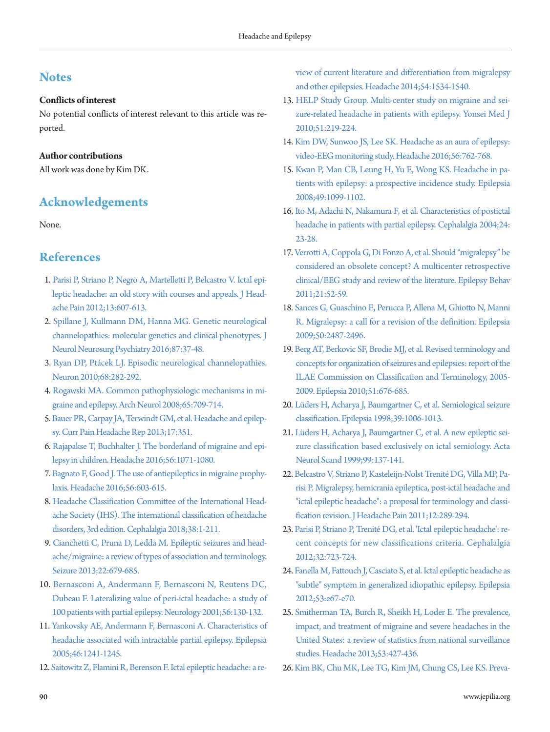### **Notes**

#### **Conflicts of interest**

No potential conflicts of interest relevant to this article was reported.

#### **Author contributions**

All work was done by Kim DK.

### **Acknowledgements**

None.

### <span id="page-7-0"></span>**References**

- <span id="page-7-4"></span><span id="page-7-2"></span>1. Parisi P, Striano P, Negro A, Martelletti P, Belcast[ro V. Ictal epi](https://doi.org/10.1007/s10194-012-0485-y)[leptic headache: an old story with courses and appeals. J Head](https://doi.org/10.1007/s10194-012-0485-y)[ache Pain 2012;13:607-613.](https://doi.org/10.1007/s10194-012-0485-y)
- <span id="page-7-1"></span>2. Spillane J, Kullmann DM, Hanna MG. Genetic neurological channelopathies: molecular genetics and clinical phenotypes. J Neu[rol Neurosurg Psychiatry 2016;87:37-48.](https://doi.org/10.1136/jnnp-2015-311233)
- <span id="page-7-5"></span>3. Ryan DP, P[tácek LJ. Episodic neuro](https://doi.org/10.1016/j.neuron.2010.10.008)logical channelopathies. Neuron 2010;68:282-292.
- <span id="page-7-3"></span>4. Rogawski MA. Common pathophysiologic mechanisms in migraine and epileps[y. Arch Neurol 2008;65:709-714.](https://doi.org/10.1001/archneur.65.6.709)
- 5. [Bauer PR, Carpay JA, Terwindt GM, et al. Headache and epilep](https://doi.org/10.1007/s11916-013-0351-x)[sy. Curr Pain Headache Rep 2013;17:351.](https://doi.org/10.1007/s11916-013-0351-x)
- 6. [Rajapakse T, Buchhalter J. The borderland of migraine and epi](https://doi.org/10.1111/head.12827)[lepsy in children. Headache 2016;56:1071-1080.](https://doi.org/10.1111/head.12827)
- <span id="page-7-8"></span>7. Bagnato F, Good J. The use of antiepileptics in mig[raine prophy](https://doi.org/10.1111/head.12781)[laxis. Headache 2016;56:603-615.](https://doi.org/10.1111/head.12781)
- <span id="page-7-6"></span>8. [Headache Classification Committee of the International Head](https://doi.org/10.1177/0333102417738202)[ache Society \(IHS\). The international classification of headache](https://doi.org/10.1177/0333102417738202)  [disorders, 3rd edition. Cephalalgia 2018;38:1-211.](https://doi.org/10.1177/0333102417738202)
- <span id="page-7-7"></span>9. Cianchetti C, Pruna D, Ledda M. Epileptic seizu[res and head](https://doi.org/10.1016/j.seizure.2013.05.017)[ache/migraine: a review of types of association and terminology.](https://doi.org/10.1016/j.seizure.2013.05.017)  [Seizure 2013;22:679-685.](https://doi.org/10.1016/j.seizure.2013.05.017)
- 10. [Bernasconi A, Andermann F, Bernasconi N, Reutens DC,](https://doi.org/10.1212/wnl.56.1.130)  [Dubeau F. Lateralizing value of peri-ictal headache: a study of](https://doi.org/10.1212/wnl.56.1.130)  [100 patients with partial epilepsy. Neurology 2001;56:130-132.](https://doi.org/10.1212/wnl.56.1.130)
- 11. [Yankovsky AE, Andermann F, Bernasconi A. Characteristics of](https://doi.org/10.1111/j.1528-1167.2005.64804.x)  [headache associated with intractable partial epilepsy. Epilepsia](https://doi.org/10.1111/j.1528-1167.2005.64804.x)  [2005;46:1241-1245.](https://doi.org/10.1111/j.1528-1167.2005.64804.x)
- <span id="page-7-9"></span>12. Sa[itowitz Z, Flamini R, Berenson F. Ictal epileptic headache: a re-](https://doi.org/10.1111/head.12432)

[view of current literature and differentiation from migralepsy](https://doi.org/10.1111/head.12432)  [and other epilepsies. Headache 2014;54:1534-1540](https://doi.org/10.1111/head.12432).

- <span id="page-7-10"></span>13. HELP Study [Group. Multi-center study on migraine and sei](https://www.ncbi.nlm.nih.gov/pubmed/20191013)[zure-related headache in patients with epilepsy. Yonsei Med J](https://www.ncbi.nlm.nih.gov/pubmed/20191013)  [2010;51:219-224](https://www.ncbi.nlm.nih.gov/pubmed/20191013).
- <span id="page-7-19"></span>14[. Kim DW, Sunwoo JS, Lee SK. Headache as an aura of epilepsy:](https://doi.org/10.1111/head.12754)  [video-EEG monitoring study. Headache 2016;56:762-768](https://doi.org/10.1111/head.12754).
- <span id="page-7-18"></span>15[. Kwan P, Man CB, Leung H, Yu E, Wong KS. Headache in pa](https://doi.org/10.1111/j.1528-1167.2008.01574.x)[tients with epilepsy: a prospective incidence study. Epilepsia](https://doi.org/10.1111/j.1528-1167.2008.01574.x)  [2008;49:1099-1102.](https://doi.org/10.1111/j.1528-1167.2008.01574.x)
- 16. [Ito M, Adachi N, Nakamura F, et al. Characteristics of postictal](https://doi.org/10.1111/j.1468-2982.2004.00628.x)  [headache in patients with partial epilepsy. Cephalalgia 2004;24:](https://doi.org/10.1111/j.1468-2982.2004.00628.x) [23-28.](https://doi.org/10.1111/j.1468-2982.2004.00628.x)
- 17. [Verrotti A, Coppola G, Di Fonzo A, et al. Should "migralepsy" be](https://doi.org/10.1016/j.yebeh.2011.03.004)  [considered an obsolete concept? A multicenter retrospective](https://doi.org/10.1016/j.yebeh.2011.03.004)  [clinical/EEG study and review of the literature. Epilepsy Behav](https://doi.org/10.1016/j.yebeh.2011.03.004)  [2011;21:52-59.](https://doi.org/10.1016/j.yebeh.2011.03.004)
- <span id="page-7-11"></span>18. Sances G, Guaschino E, Perucca P, Allena M, Ghiotto N, Manni R. Migralepsy: a call for a [revision of the definition. Epilepsia](https://doi.org/10.1111/j.1528-1167.2009.02265.x)  [2009;50:2487-2496.](https://doi.org/10.1111/j.1528-1167.2009.02265.x)
- <span id="page-7-12"></span>19[. Berg AT, Berkovic SF, Brodie MJ, et al. Revised terminology and](https://doi.org/10.1111/j.1528-1167.2010.02522.x)  [concepts for organization of seizures and epilepsies: report of the](https://doi.org/10.1111/j.1528-1167.2010.02522.x)  [ILAE Commission on Classification and Terminology, 2005-](https://doi.org/10.1111/j.1528-1167.2010.02522.x) [2009. Epilepsia 2010;51:676-685](https://doi.org/10.1111/j.1528-1167.2010.02522.x).
- <span id="page-7-13"></span>20. Lüders H, Acharya J, Baumgartner C, et al. Semiological seizu[re](https://doi.org/10.1111/j.1528-1157.1998.tb01452.x)  [classification. Epilepsia 1998;39:1006-1013.](https://doi.org/10.1111/j.1528-1157.1998.tb01452.x)
- <span id="page-7-14"></span>21[. Lüders H, Acharya J, Baumgartner C, et al. A ne](https://doi.org/10.1111/j.1600-0404.1999.tb07334.x)w epileptic seizure classification based exclusively on ictal semiology. Acta Neurol Scand 1999;99:137-141.
- 22. [Belcastro V, Striano P, Kasteleijn-Nolst Trenité DG, Villa MP](https://doi.org/10.1007/s10194-011-0318-4), Parisi P. Migralepsy, hemicrania epileptica, post-ictal headache and "ictal epileptic headache": a proposal for terminology and classification revision. J Headache Pain 2011;12:289-294.
- <span id="page-7-17"></span>23[. Parisi P, Striano P, Trenité DG, et al. 'Ictal epileptic headache](https://doi.org/10.1177/0333102412447536)': recent concepts for new classifications criteria. Cephalalgia 2012;32:723-724.
- <span id="page-7-15"></span>24[. Fanella M, Fattouch J, Casciato S, et al. Ictal epileptic headache as](https://doi.org/10.1111/j.1528-1167.2011.03387.x)  ["subtle" symptom in generalized idiopathic epilepsy. Epilepsia](https://doi.org/10.1111/j.1528-1167.2011.03387.x)  [2012;53:e67-e70](https://doi.org/10.1111/j.1528-1167.2011.03387.x).
- <span id="page-7-16"></span>25[. Smitherman TA, Burch R, Sheikh H, Loder E. The prevalence,](https://doi.org/10.1111/head.12074)  [impact, and treatment of migraine and severe headaches in the](https://doi.org/10.1111/head.12074)  [United States: a review of statistics from national surveillance](https://doi.org/10.1111/head.12074)  [studies. Headache 2013;53:427-436](https://doi.org/10.1111/head.12074).
- 26. [Kim BK, Chu MK, Lee TG, Kim JM, Chung CS, Lee KS. Preva-](https://doi.org/10.3988/jcn.2012.8.3.204)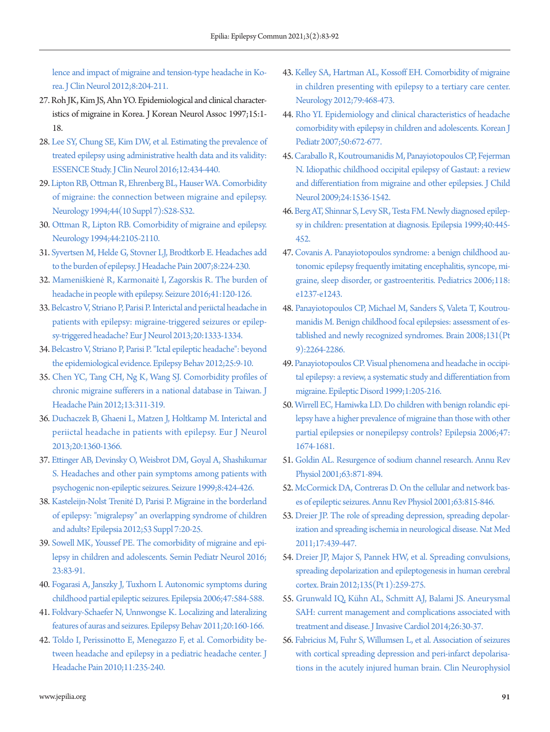[lence and impact of migraine and tension-type headache in Ko](https://doi.org/10.3988/jcn.2012.8.3.204)[rea. J Clin Neurol 2012;8:204-211.](https://doi.org/10.3988/jcn.2012.8.3.204)

- <span id="page-8-4"></span><span id="page-8-0"></span>27. Roh JK, Kim JS, Ahn YO. Epidemiological and clinical characteristics of migraine in Korea. J Korean Neurol Assoc 1997;15:1- 18.
- <span id="page-8-1"></span>[28. Lee SY, Chung SE, Kim DW, et al. Estimating the prevalence of](https://doi.org/10.3988/jcn.2016.12.4.434)  [treated epilepsy using administrative health data and its validity:](https://doi.org/10.3988/jcn.2016.12.4.434)  [ESSENCE Study. J Clin Neurol 2016;12:434-440](https://doi.org/10.3988/jcn.2016.12.4.434).
- <span id="page-8-2"></span>2[9. Lipton RB, Ottman R, Ehrenberg BL, Hauser WA. Comorbidity](https://www.ncbi.nlm.nih.gov/pubmed/7969943)  [of migraine: the connection between migraine and epilepsy.](https://www.ncbi.nlm.nih.gov/pubmed/7969943)  [Neurology 1994;44\(10 Suppl 7\):S28-S32.](https://www.ncbi.nlm.nih.gov/pubmed/7969943)
- <span id="page-8-3"></span>3[0. Ottman R, Lipton RB. Comorbidity of migraine and epilepsy.](https://doi.org/10.1212/wnl.44.11.2105)  [Neurology 1994;44:2105-2110](https://doi.org/10.1212/wnl.44.11.2105).
- 31. [Syvertsen M, Helde G, Stovner LJ, Brodtkorb E. Headaches add](https://doi.org/10.1007/s10194-007-0398-3)  [to the burden of epilepsy. J Headache Pain 2007;8:224-230.](https://doi.org/10.1007/s10194-007-0398-3)
- <span id="page-8-7"></span><span id="page-8-5"></span>32. Mameniškien[ė R, Karmonaitė I, Zagorskis R. The bur](https://doi.org/10.1016/j.seizure.2016.07.018)den of headache in people with epilepsy. Seizure 2016;41:120-126.
- <span id="page-8-6"></span>33. [Belcastro V, Striano P, Parisi P. Interictal and periictal headache in](https://doi.org/10.1111/ene.12048)  [patients with epilepsy: migraine-triggered seizures or epilep](https://doi.org/10.1111/ene.12048)[sy-triggered headache? Eur J Neurol 2013;20:1333-1334.](https://doi.org/10.1111/ene.12048)
- 34. [Belcastro V, Striano P, Parisi P. "Ictal epileptic headache": beyond](https://doi.org/10.1016/j.yebeh.2012.07.002)  [the epidemiological evidence. Epilepsy Behav 2012;25:9-10.](https://doi.org/10.1016/j.yebeh.2012.07.002)
- <span id="page-8-8"></span>35. Chen YC, [Tang CH, Ng K, Wang SJ. Comorbidity profiles of](https://doi.org/10.1007/s10194-012-0447-4)  [chronic migraine sufferers in a national database in Taiwan. J](https://doi.org/10.1007/s10194-012-0447-4)  [Headache Pain 2012;13:311-319.](https://doi.org/10.1007/s10194-012-0447-4)
- <span id="page-8-9"></span>36. [Duchaczek B, Ghaeni L, Matzen J, Holtkamp M. Interictal and](https://doi.org/10.1111/ene.12049)  [periictal headache in patients with epilepsy. Eur J Neurol](https://doi.org/10.1111/ene.12049)  [2013;20:1360-1366.](https://doi.org/10.1111/ene.12049)
- <span id="page-8-10"></span>3[7. Ettinger AB, Devinsky O, Weisbrot DM, Goyal A, Shashikumar](https://doi.org/10.1053/seiz.1999.0334)  [S. Headaches and other pain symptoms among patients with](https://doi.org/10.1053/seiz.1999.0334)  [psychogenic non-epileptic seizures. Seizure 1999;8:424-426](https://doi.org/10.1053/seiz.1999.0334).
- <span id="page-8-11"></span>3[8. Kasteleijn-Nolst Trenité D](https://www.ncbi.nlm.nih.gov/pubmed/23153206), Parisi P. Migraine in the borderland of epilepsy: "migralepsy" an overlapping syndrome of children and adults? Epilepsia 2012;53 Suppl 7:20-25.
- 39. [Sowell MK, Youssef PE. The comorbidity of migraine and epi](https://doi.org/10.1016/j.spen.2016.01.012)[lepsy in children and adolescents. Semin Pediatr Neurol 2016;](https://doi.org/10.1016/j.spen.2016.01.012) [23:83-91.](https://doi.org/10.1016/j.spen.2016.01.012)
- <span id="page-8-12"></span>4[0. Fogarasi A, Janszky J, Tuxhorn I. Autonomic symptoms during](https://doi.org/10.1111/j.1528-1167.2006.00472.x)  [childhood partial epileptic seizures. Epilepsia 2006;47:584-588](https://doi.org/10.1111/j.1528-1167.2006.00472.x).
- <span id="page-8-13"></span>41. Foldvary-Schaefer N, Unnwongse K. Localizing and late[ralizing](https://doi.org/10.1016/j.yebeh.2010.08.034)  [features of auras and seizures. Epilepsy Behav 2011;20:160-166.](https://doi.org/10.1016/j.yebeh.2010.08.034)
- <span id="page-8-14"></span>4[2. Toldo I, Perissinotto E, Menegazzo F, et al. Comorbidity be](https://doi.org/10.1007/s10194-010-0191-6)[tween headache and epilepsy in a pediatric headache center. J](https://doi.org/10.1007/s10194-010-0191-6)  [Headache Pain 2010;11:235-240.](https://doi.org/10.1007/s10194-010-0191-6)
- <span id="page-8-15"></span>43[. Kelley SA, Hartman AL, Kossoff EH. Comorbidity of migraine](https://doi.org/10.1212/wnl.0b013e3182617113)  [in children presenting with epilepsy to a tertiary care center.](https://doi.org/10.1212/wnl.0b013e3182617113)  [Neurology 2012;79:468-473](https://doi.org/10.1212/wnl.0b013e3182617113).
- <span id="page-8-16"></span>44[. Rho YI. Epidemiology and clinical characteristics of headache](https://doi.org/10.3345/kjp.2007.50.7.672)  [comorbidity with epilepsy in children and adolescents. Korean J](https://doi.org/10.3345/kjp.2007.50.7.672)  [Pediatr 2007;50:672-677.](https://doi.org/10.3345/kjp.2007.50.7.672)
- 45. [Caraballo R, Koutroumanidis M, Panayiotopoulos CP, Fejerman](https://doi.org/10.1177/0883073809332395)  [N. Idiopathic childhood occipital epilepsy of Gastaut: a review](https://doi.org/10.1177/0883073809332395)  [and differentiation from migraine and other epilepsies. J Child](https://doi.org/10.1177/0883073809332395)  [Neurol 2009;24:1536-1542.](https://doi.org/10.1177/0883073809332395)
- <span id="page-8-17"></span>46. B[erg AT, Shinnar S, Levy SR, Testa FM. Newly diagnosed epilep](https://doi.org/10.1111/j.1528-1157.1999.tb00739.x)[sy in children: presentation at diagnosis. Epilepsia 1999;40:445-](https://doi.org/10.1111/j.1528-1157.1999.tb00739.x) [452](https://doi.org/10.1111/j.1528-1157.1999.tb00739.x).
- <span id="page-8-18"></span>47[. Covanis A. Panayiotopoulos syndrome: a benign childhood au](https://doi.org/10.1542/peds.2006-0623)[tonomic epilepsy frequently imitating encephalitis, syncope, mi](https://doi.org/10.1542/peds.2006-0623)[graine, sleep disorder, or gastroenteritis. Pediatrics 2006;118:](https://doi.org/10.1542/peds.2006-0623) [e1237-e1243.](https://doi.org/10.1542/peds.2006-0623)
- <span id="page-8-19"></span>48[. Panayiotopoulos CP, Michael M, Sanders S, Valeta T, Koutrou](https://doi.org/10.1093/brain/awn162)[manidis M. Benign childhood focal epilepsies: assessment of es](https://doi.org/10.1093/brain/awn162)[tablished and newly recognized syndromes. Brain 2008;131\(Pt](https://doi.org/10.1093/brain/awn162)  [9\):2264-2286.](https://doi.org/10.1093/brain/awn162)
- <span id="page-8-20"></span>49[. Panayiotopoulos CP. Visual phenomena and headache in occipi](https://www.ncbi.nlm.nih.gov/pubmed/10937155)[tal epilepsy: a review, a systematic study and differentiation from](https://www.ncbi.nlm.nih.gov/pubmed/10937155)  [migraine. Epileptic Disord 1999;1:205-216](https://www.ncbi.nlm.nih.gov/pubmed/10937155).
- 50. [Wirrell EC, Hamiwka LD. Do children with benign rolandic epi](https://doi.org/10.1111/j.1528-1167.2006.00639.x)[lepsy have a higher prevalence of migraine than those with other](https://doi.org/10.1111/j.1528-1167.2006.00639.x)  [partial epilepsies or nonepilepsy controls? Epilepsia 2006;47:](https://doi.org/10.1111/j.1528-1167.2006.00639.x) [1674-1681.](https://doi.org/10.1111/j.1528-1167.2006.00639.x)
- <span id="page-8-21"></span>51[. Goldin AL. Resurgence of sodium channel research. Annu Rev](https://doi.org/10.1146/annurev.physiol.63.1.871)  [Physiol 2001;63:871-894.](https://doi.org/10.1146/annurev.physiol.63.1.871)
- <span id="page-8-22"></span>52[. McCormick DA, Contreras D. On the cellular and network bas](https://doi.org/10.1146/annurev.physiol.63.1.815)[es of epileptic seizures. Annu Rev Physiol 2001;63:815-846.](https://doi.org/10.1146/annurev.physiol.63.1.815)
- <span id="page-8-23"></span>53[. Dreier JP. The role of spreading depression, spreading depolar](https://doi.org/10.1038/nm.2333)[ization and spreading ischemia in neurological disease. Nat Med](https://doi.org/10.1038/nm.2333)  [2011;17:439-447](https://doi.org/10.1038/nm.2333).
- <span id="page-8-24"></span>54[. Dreier JP, Major S, Pannek HW, et al. Spreading convulsions,](https://doi.org/10.1093/brain/awr303)  [spreading depolarization and epileptogenesis in human cerebral](https://doi.org/10.1093/brain/awr303)  [cortex. Brain 2012;135\(Pt 1\):259-275.](https://doi.org/10.1093/brain/awr303)
- <span id="page-8-25"></span>5[5. Grunwald IQ, Kühn AL, Schmitt A](https://www.ncbi.nlm.nih.gov/pubmed/24402809)J, Balami JS. Aneurysmal SAH: current management and complications associated with treatment and disease. J Invasive Cardiol 2014;26:30-37.
- <span id="page-8-26"></span>56[. Fabricius M, Fuhr S, Willumsen L, et al. Association of seizures](https://doi.org/10.1016/j.clinph.2008.05.025)  [with cortical spreading depression and peri-infarct depolarisa](https://doi.org/10.1016/j.clinph.2008.05.025)[tions in the acutely injured human brain. Clin Neurophysiol](https://doi.org/10.1016/j.clinph.2008.05.025)